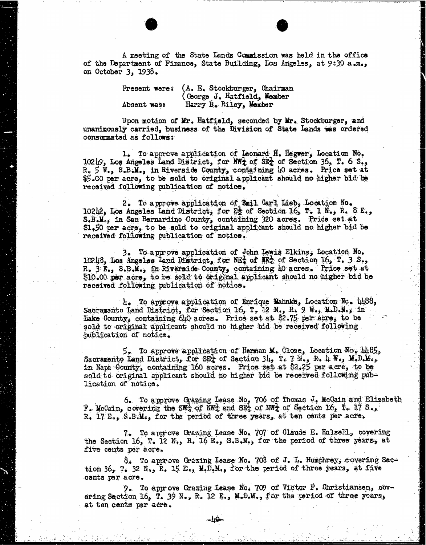A meeting of the State Lands Commission was held in the office<br>of the Department of Finance, State Building, Los Angeles, at 9:30 a.m., on October 3, 1938.

> Present were: (A. E. Stockburger, Chairman (George J. Hatfield, Member Absent was: Harry B. Riley, Member

Upon motion of Mr. Hatfield, seconded by Mr. Stockburger, and unanimously carried, business of the Division of State Lands was ordered consumated as follows:

1. To approve application of Leonard H. Hegwer, Location No.<br>10219, Los Angeles Land District, for NWA of SEA of Section 36, T. 6 S., R. 5 W., S.B.M., in Riverside County, containing  $10$  acres. Price set at  $$5.00$  per acre, to be sold to original applicant should no higher bid be received following publication of notice.

2. To approve application of Fail Carl Lieb, Location No. 10242, Los Angeles land District, for Es of Section 16, T. I N., R. 8 E., S.B.M., in San Bernardino County, containing 320 acres. Price set at \$1.50 per acre, to be sold to original applicant should no higher bid be received following publication of notice.

3. To approve application of John Lewis Elkins, Location No.<br>10208, Los Angeles land District, for NET of NET of Section 16, T. 3. S.,<br>R. 3 E., S.B.M., in Riverside County, containing 10 acres. Price set at  $\$10.00$  per acre, to be sold to original applicant should no higher bid be received following publication of notice.

4. To approve application of Enrique Mahnke, Location No. 1488, Sacramento Land District, for Section 16, T. 12 N., R. 9 W., M.D.M., in Lake County, containing 640 acres. Price set at \$2.75 per acre, to be sold to original applicant should no higher bid be received' following publication of notice.

5. To approve application of Herman M. Close, Location No. 1485, Sacramento Land District, for SE4 of Section 34, T. 7 N., R. 4: W., M.D.M., in Napa County, containing 160 acres. Price set at \$2.25 per acre, to be sold to original applicant should no higher bid be received following publication of notice.

6. To approve Grazing Lease No. 706 of Thomas J. Mccain and Elizabeth F. Mccain, covering the SWA of NW. and SEE of NWA of Section 16, T. 17 S., R. 17 E., S.B.M., for the period of three years, at ten cents per acre.

7. To approve Grazing Lease No. 707 of Claude E. Halsell, covering the Section 16, T. 12 N., R. 16 E., S.B.M., for the period of three years, at five cents per acre.

8. To approve Grazing Lease No. 708 of J. L. Humphrey, covering Section  $36$ , T.  $32$  N., R. 15 B., M.D.M., for the period of three years, at five cents par acre.

9. To approve Grazing Lease No. 709 of Victor F. Christiansen, covoring Section 16, T. 39 N., R. 12 E., M.D.M., for the period of three years, at ten cents per acre.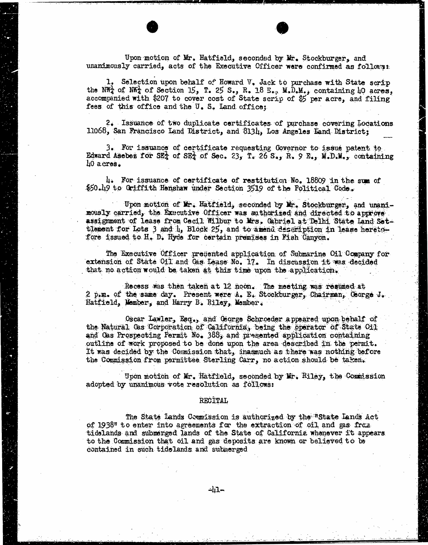Upon motion of Mr. Hatfield, seconded by Mr. Stockburger, and unanimously carried, acts of the Executive Officer were confirmed as follows:

1. Selection upon behalf of Howard V. Jack to purchase with State scrip the NW<sub>4</sub> of NW<sub>4</sub> of Section 15, T. 25 S., R. 18 E., M.D.M., containing 40 acres, accompanied with \$207 to cover cost of State scrip of \$5 per acre, and f fees of this office and the U. S. Land office;

2. Issuance of two duplicate certificates of purchase covering Locations 11068, San Francisco Land District, and 8134, Los Angeles Land District;

3. For issuance of certificate requesting Governor to issue patent to Edward Asebez for SE<sub>4</sub> of SE<sub>4</sub> of Sec. 23, T. 26 S., R. 9 E., M.D.M., containing 40 acres.

4. For issuance of certificate of restitution No. 18809 in the sum of \$50.19 to Griffith Henshaw under Section 3519 of the Political Code.

Upon motion of Mr. Hatfield, seconded by Mr. Stockburger, and unanimously carried, the Executive Officer was authorized and directed to approve assignment of lease from Cecil Wilbur to Mrs. Gabriel at Delhi State Land Settlement for Lots 3 and 1, Block 25, and to amend description in lease heretofore issued to H. D. Hyde for certain premises in Fish Canyon.

The Executive Officer presented application of Submarine Oil Company for extension of State Oil and Cas Lease No. 17. In discussion it was decided that no action would be taken at this time upon the application.

Recess was then taken at 12 noon. The meeting was resumed at 2 p.m. of the same day. Present were A. E. Stockburger, Chairman, George J. Hatfield, Member, and Harry B. Riley, Momber.

Oscar Lawler, Esq., and George Schroeder appeared upon behalf of the Natural Gas Corporation of California, being the operator of State Oil and Gas Prospecting Permit No. 388, and presented application containing outline of work proposed to be done upon the area described in the permit. It was decided by the Commission that, inasmuch as there was nothing before the Commission from permittee Sterling Carr, no action should be taken.

Upon motion of Mr. Hatfield, seconded by Mr. Riley, the Commission adopted by unanimous vote resolution as follows:

## RECITAL

The State Lands Counission is authorized by the "State Lands Act of 1938" to enter into agreements for the extraction of oil and gas fraa tidelands and submerged lands of the State of California whenever it appears to the Commission that oil and gas deposits are known or believed to be contained in such tidelands and submerged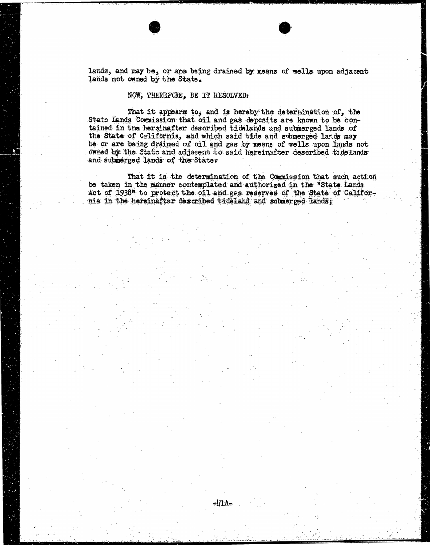lands, and may be, or are being drained by means of wells upon adjacent lands not owned by the State.

## NOW, THEREFORE, BE IT RESOLVED:

That it appears to, and is hereby the determination of, the State Lands Commission that oil and gas deposits are known to be contained in the hersinafter described tidelands and submerged lands of the State of California, and which said tide and submerged lards may be or are being drained of oil and gas by means of wells upon lands not owned by the State and adjacent to said hereinafter described todelands and submerged lands of the State.

That it is the determination of the Commission that such action be taken in the manner contemplated and authorized in the "State Lands Act of 1938" to protect the oil and gas reserves of the State of California in the hereinafter described tideland and submerged lands;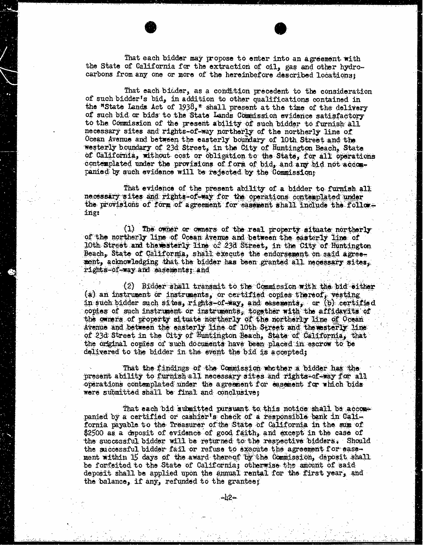That each bidder may propose to enter into an agreement with the State of California for the extraction of oil, gas and other hydrocarbons from any one or more of the hereinbefore described locations;

That each bidder, as a condition precedent to the consideration of such bidder's bid, in addition to other qualifications contained in the "State Lands Act of 1938, " shall present at the time of the delivery of such bid or bids to the State Lands Commission evidence satisfactory to the Commission of the present ability of such bidder to furnish all necessary sites and rights-of-way northerly of the northerly line of Ocean Avenue and between the easterly boundary of 10th Street and the westerly boundary of 23d Street, in the City of Huntington Beach, State of California, without cost or obligation to the State, for all operations contemplated under the provisions of form of bid, and any bid not accompanied by such evidence will be rejected by the Commission;

That evidence of the present ability of a bidder to furnish all necessary sites and rights-of way for the operations contemplated under the provisions of form of agreement for easement shall include the follows ing:

(1) The owner or owners of the real property situate northerly of the northerly line of Ocean Avenue and between the easterly line of 10th Street and thewesterly line of 23d Street, in the City of Huntington Beach, State of California, shall execute the endorsement on said agreement, acknowledging that the bidder has been granted all necessary sites, rights-of-way and easements; and

(2) Bidder shall transmit to the Commission with the bid either<br>(2) an instrument or instruments, or certified copies thereof, vesting in such bidder such sites, rights-of-way, and easements, or (b) certified copies of such instrument or instruments, together with the affidavits of the owners of property situate northerly of the northerly line of Ocean Avenue and between the easterly line of 10th Street and thewesterly line of 23d Street in the City of Huntington Beach, State of California, that the original copies of such documents have been placed in escrow to be delivered to the bidder in the event the bid is accepted;

That the findings of the Commission whether a bidder has the present ability to furnish all necessary sites and rights-of-way for all operations contemplated under the agreement for easement for which bids were submitted shall be final and conclusive;

That each bid submitted pursuant to this notice shall be accompanied by a certified or cashier's check of a responsible bank in California payable to the Treasurer of the State of California in the sum of \$2500 as a deposit of evidence of good faith, and except in the case of the successful bidder will be returned to the respective bidders, Should the successful bidder fail or refuse to execute the agreement for easement within 15 days of the award thereof by the Commission, deposit shall be forfeited to the State of California; otherwise the amount of said deposit shall be applied upon the annual rental for the first year, and the balance, if any, refunded to the grantee;

-h2∸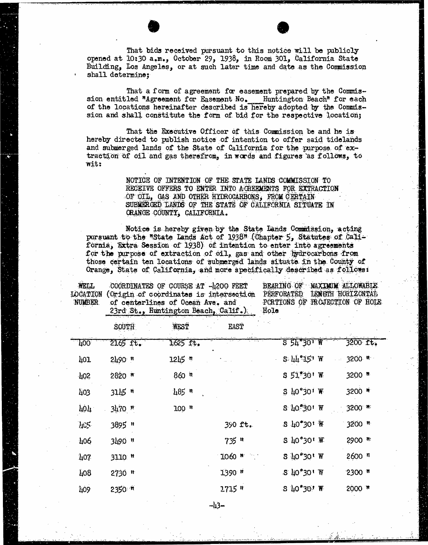That bids received pursuant to this notice will be publicly opened at 10:30 a.m., October 29, 1938, in Room 301, California State Building, Los Angeles, or at such later time and date as the Commission shall determine;

That a form of agreement for easement prepared by the Commis-<br>sion entitled "Agreement for Easement No. Huntington Beach" for each<br>of the locations hereinafter described is hereby adopted by the Commission and shall constitute the form of bid for the respective location;

That the Executive Officer of this Commission be and he is hereby directed to publish notice of intention to offer said tidelands and submerged lands of the State of California for the purpose of extraction of oil and gas therefrom, in words and figures as follows, to wit:

> NOTICE OF INTENTION OF THE STATE LANDS COMMISSION TO RECEIVE OFFERS TO ENTER INTO AGREEMENTS FOR EXTRACTION OF OIL, GAS AND OTHER HYDROCARBONS, FROM CERTAIN SUBMERGED LANDS OF THE STATE OF CALIFORNIA SITUATE IN ORANGE COUNTY, CALIFORNIA.

Notice is hereby given by the State Lands Commission, acting pursuant to the "State Lands Act of 1938" (Chapter 5, Statutes of California, Extra Session of 1938) of intention to enter into agreements for the purpose of extraction of oil, gas and other hydrocarbons from those certain ten locations of submerged lands situate in the County of Orange, State of California, and more specifically described as follows:

WELL COORDINATES OF COURSE AT -4200 FEET BEARING OF MAXIMUM ALLOWABLE<br>CATION (Origin of coordinates is intersection PERFORATED LENGTH HORIZONTAT LOCATION (Origin of coordinates is intersection PERFORATED LENGTH HORIZONTAL of centerlines of Ocean Ave. and PORTICS PORTIONS OF PORTIONS OF PROJECTIONS OF PROJECTIONS OF PROJECTIONS OF PROJECTIONS OF PROJECTIONS OF PROJECTIONS OF PROJECTIONS OF PROJECTIONS OF PROJECTIONS OF PROJECTIONS OF PROJECT 23rd St., Huntington Beach, Calif.)

|            | SOUTH                | WEST      | <b>EAST</b> |                                                    |                     |
|------------|----------------------|-----------|-------------|----------------------------------------------------|---------------------|
| $-400$     | 2165 ft.             | 1625 ft.  |             | $551^{\circ}301$ W                                 | 3200 ft.            |
| 101        | $2490$ #             | 1245 R    |             | $2:$ $\pi$ <sub><math>3</math></sub> $\pi$ , $\pi$ | 3200 #              |
| 102        | $2820$ $*$           | $860$ it  |             | $S 51930!$ W                                       | 3200 m              |
| 403        | $3115$ $#$           | $485$ "   |             | $5\,10^{\circ}30$ <sup>1</sup> W                   | 3200 #              |
| <b>TOT</b> | $3170$ m             | $100$ $n$ |             | S 40-30' W                                         | 3200 m              |
| 405        | 3895 "               |           | 390 ft.     | $5 \, 10^{\circ}30^{\circ}$ #                      | $3200$ <sup>n</sup> |
| 406        | 3490 #               |           | $735$ $"$   | S 40°30' W                                         | 2900 #              |
| 107        | 3110: #              |           | 1060 m      | S 40°30' W                                         | $2600$ $^n$         |
| 408        | $2730$ <sup>11</sup> |           | $1390$ $#$  | $S$ 40°30' W                                       | $2300$ $#$          |
| 409        | 2350 m               |           | $2715$ *    | $5 \, 10^{4}$ 30' W                                | 2000 1              |
|            |                      |           |             |                                                    |                     |

-43-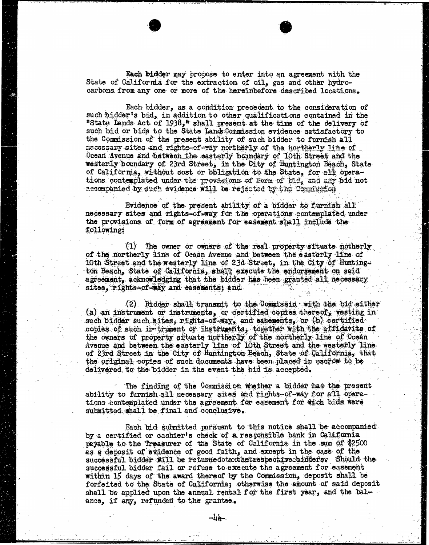Each bidder may propose to enter into an agreement with the State of California for the extraction of oil, gas and other hydrocarbons from any one or more of the hereinbefore described locations.

Each bidder, as a condition precedent to the consideration of such bidder's bid, in addition to other qualifications contained in the "State Lands Act of 1938," shall present at the time of the delivery of such bid or bids to the State Land Commission evidence satisfactory to the Commission of the present ability of such bidder to furnish all nacessary sites and rights-of way northerly of the northerly line of Ocean Avenue and between the easterly boundary of 10th Street and the westerly boundary of 23rd Street, in the City of Huntington Beach, State of California, without cost or bbligation to the State, for all operations, contemplated under the provisions of Form of bid, and any bid not accompanied by such evidence will be rejected by the Commission

Evidence of the present ability of a bidder to furnish all necessary sites and rights-of-way for the operations contemplated under the provisions of form of agreement for easement shall include the following:

(1) The owner or owners of the real property situate notherly of the northerly lins of Ocean Avenue and between the easterly line of 10th Street and the westerly line of 23d Street, in the City of Huntington Beach, State of California, shall execute the endorsement on said agreement, acknowledging that the bidder has been granted all necessary sites, rights of-way and easements; and

(2) Bidder shall transmit to the Commission with the bid either (a) an instrument or instruments, or certified copies thereof, vesting in such bidder such sites, rights-of-way, and easements, or (b) certified copies of such instrument or instruments, together with the affidavits of the owners of property situate northerly of the northerly line of Ocean Avenue and between the easterly line of 10th Street and the westerly line of 23rd Street in the City of Huntington Beach, State of California, that the original copies of such documents have been placed in escrow to be delivered to the bidder in the event the bid is accepted.

The finding of the Commission whether a bidder has the present ability to furnish all necessary sites and rights-of-way for all operations contemplated under the agreement for easement for mich bids were submitted shall be final and conclusive.

Each bid submitted pursuant to this notice shall be accompanied by a certified or cashier's check of a responsible bank in California payable to the Treasurer of the State of California in the sum of \$2500 as a deposit of evidence of good faith, and except in the case of the successful bidder #ill be returnedotexthatrespective bidders. Should the successful bidder fail or refuse to execute the agreement for easement within 15 days of the award thereof by the Commission, deposit shall be forfeited to the State of California; otherwise the amount of said deposit shall be applied upon the annual rental for the first year, and the bal- $$ ance, if any, refunded to the grantse.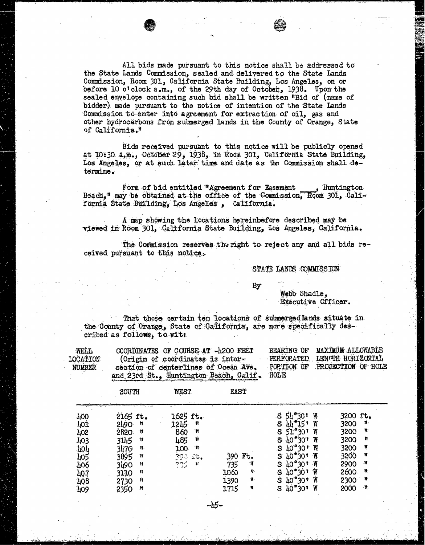All bids made pursuant to this notice shall be addressed to the State Lands Commission, sealed and delivered to the State Lands. Commission, Room 301, California State Building, Los Angeles, on or before 10 o'clock  $a_{\bullet}m_{\bullet}$ , of the 29th day of October, 1938. Upon the sealed envelope containing such bid shall be written "Bid of (name of bidder) made pursuant to the notice of intention of the State Lands Commission to enter into agreement for extraction of oil, gas and other hydrocarbons from submerged lands in the County of Orange, State of California."

Bids received pursuant to this notice will be publicly opened at 10:30 a,m., October 29, 1938, in Room 301, California State Building, Los Angeles, or at such later time and date as the Commission shall determine.

Form of bid entitled "Agreement for Easement Huntington Beach, " may be obtained at the office of the Commission, Room 301, California State Building, Los Angeles , California.

A map showing the locations hereinbefore described may be viewed in Room 301, California State Building, Los Angeles, California.

The Commission reserves the right to reject any and all bids re-<br>ceived pursuant to this notice.

STATE LANDS COMMISSION

By

Webb Shadle, Executive Officer.

That those certain ten locations of submergedlands situate in the County of Orange, State of California, are more specifically described as follows, to wit:

| <b>WELL</b>   | COORDINATES OF COURSE AT -4200 FEET    |      | BEARING OF MAXIMUM ALLOWABLE  |
|---------------|----------------------------------------|------|-------------------------------|
| LOCATION-     | (Origin of coordinates is inter-       |      | PERFORATED LENGTH HORIZONTAL  |
| <b>NUMBER</b> | section of centerlines of Ocean Ave.   |      | PORTION OF PROJECTION OF HOLE |
|               | and 23rd St., Huntington Beach, Calif. | HOLE |                               |
|               |                                        |      |                               |

|            | SOUTH                      | WEST                        | <b>EAST</b>         |                                  |                      |
|------------|----------------------------|-----------------------------|---------------------|----------------------------------|----------------------|
| 400        | $2165$ ft.                 | 1625 ft.                    |                     | Ų<br>54°30<br>S.                 | 3200 ft.             |
| 101        | <b>STO</b><br>$\mathbf{H}$ | 1215<br>Ħ                   |                     | K<br>S<br>44 15'                 | ₩.<br>3200           |
| 402        | 2820:<br>∴Ħ                | Ħ<br>860                    |                     | W<br>S<br>ី 30 រ<br>51           | Ħ<br>3200            |
| ·403       | 3145<br>'N                 | Ń<br>485                    |                     | ₩<br>S<br>"301<br>$-110$         | Ħ<br>3200            |
|            | 3470<br>Ħ.                 | 100<br>-11                  |                     | Ħ<br>יי 30י′<br>S<br>4O          | 3200<br>Ŋ            |
| 104<br>105 | 3895<br>Ħ                  | 390 Lt.                     | 390 Ft.             | $\mathbf{H}$<br>S.<br>$10 - 30$  | 3200<br>Ħ            |
| 406        | 3490<br>Ħ                  | المريد بيد<br>الرياضي<br>H. | 735<br>ो।           | ₩<br>40 <b>"</b> 30 "<br>S       | $\mathbf{r}$<br>2900 |
| 407        | Ħ<br>3110                  |                             | 1060<br>$Y_{\cdot}$ | Ĥ<br>S<br>30 <sup>3</sup><br>ЦU  | 2600<br>Ŗ            |
| 408        | Ħ<br>2730                  |                             | n.<br>1390          | S<br>$40^{\circ}30^{\circ}$<br>W | - M<br>2300          |
| 409        | 2350<br>.N                 |                             | Ħ<br>1715           | W<br>$40°30*$<br>S               | 2000<br>ा            |

-45-